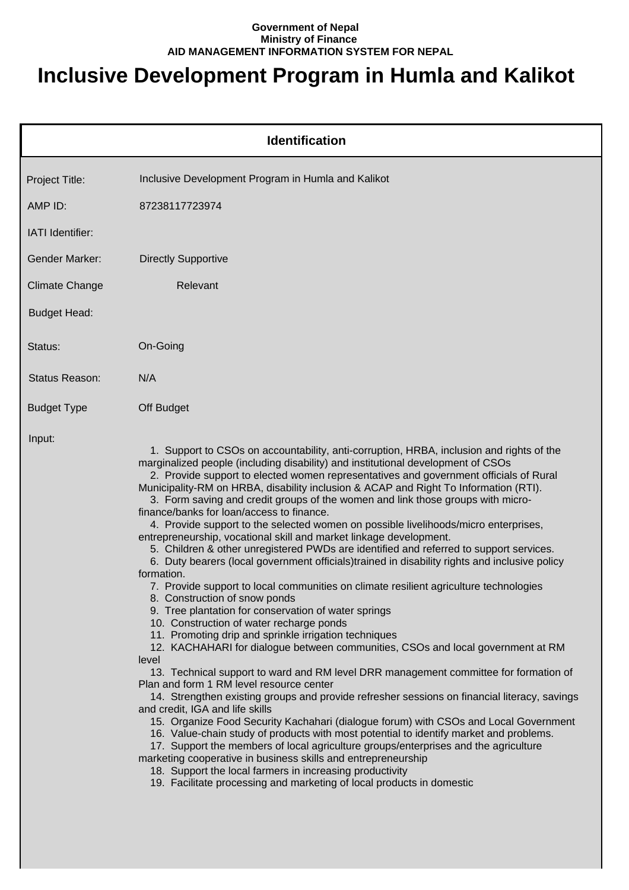## **Government of Nepal Ministry of Finance AID MANAGEMENT INFORMATION SYSTEM FOR NEPAL**

## **Inclusive Development Program in Humla and Kalikot**

|                       | <b>Identification</b>                                                                                                                                                                                                                                                                                                                                                                                                                                                                                                                                                                                                                                                                                                                                                                                                                                                                                                                                                                                                                                                                                                                                                                                                                                                                                                                                                                                                                                                                                                                                                                                                                                                                                                                                                                                                                                                                                                                                                                                        |
|-----------------------|--------------------------------------------------------------------------------------------------------------------------------------------------------------------------------------------------------------------------------------------------------------------------------------------------------------------------------------------------------------------------------------------------------------------------------------------------------------------------------------------------------------------------------------------------------------------------------------------------------------------------------------------------------------------------------------------------------------------------------------------------------------------------------------------------------------------------------------------------------------------------------------------------------------------------------------------------------------------------------------------------------------------------------------------------------------------------------------------------------------------------------------------------------------------------------------------------------------------------------------------------------------------------------------------------------------------------------------------------------------------------------------------------------------------------------------------------------------------------------------------------------------------------------------------------------------------------------------------------------------------------------------------------------------------------------------------------------------------------------------------------------------------------------------------------------------------------------------------------------------------------------------------------------------------------------------------------------------------------------------------------------------|
| Project Title:        | Inclusive Development Program in Humla and Kalikot                                                                                                                                                                                                                                                                                                                                                                                                                                                                                                                                                                                                                                                                                                                                                                                                                                                                                                                                                                                                                                                                                                                                                                                                                                                                                                                                                                                                                                                                                                                                                                                                                                                                                                                                                                                                                                                                                                                                                           |
| AMP ID:               | 87238117723974                                                                                                                                                                                                                                                                                                                                                                                                                                                                                                                                                                                                                                                                                                                                                                                                                                                                                                                                                                                                                                                                                                                                                                                                                                                                                                                                                                                                                                                                                                                                                                                                                                                                                                                                                                                                                                                                                                                                                                                               |
| IATI Identifier:      |                                                                                                                                                                                                                                                                                                                                                                                                                                                                                                                                                                                                                                                                                                                                                                                                                                                                                                                                                                                                                                                                                                                                                                                                                                                                                                                                                                                                                                                                                                                                                                                                                                                                                                                                                                                                                                                                                                                                                                                                              |
| <b>Gender Marker:</b> | <b>Directly Supportive</b>                                                                                                                                                                                                                                                                                                                                                                                                                                                                                                                                                                                                                                                                                                                                                                                                                                                                                                                                                                                                                                                                                                                                                                                                                                                                                                                                                                                                                                                                                                                                                                                                                                                                                                                                                                                                                                                                                                                                                                                   |
| <b>Climate Change</b> | Relevant                                                                                                                                                                                                                                                                                                                                                                                                                                                                                                                                                                                                                                                                                                                                                                                                                                                                                                                                                                                                                                                                                                                                                                                                                                                                                                                                                                                                                                                                                                                                                                                                                                                                                                                                                                                                                                                                                                                                                                                                     |
| <b>Budget Head:</b>   |                                                                                                                                                                                                                                                                                                                                                                                                                                                                                                                                                                                                                                                                                                                                                                                                                                                                                                                                                                                                                                                                                                                                                                                                                                                                                                                                                                                                                                                                                                                                                                                                                                                                                                                                                                                                                                                                                                                                                                                                              |
| Status:               | On-Going                                                                                                                                                                                                                                                                                                                                                                                                                                                                                                                                                                                                                                                                                                                                                                                                                                                                                                                                                                                                                                                                                                                                                                                                                                                                                                                                                                                                                                                                                                                                                                                                                                                                                                                                                                                                                                                                                                                                                                                                     |
| <b>Status Reason:</b> | N/A                                                                                                                                                                                                                                                                                                                                                                                                                                                                                                                                                                                                                                                                                                                                                                                                                                                                                                                                                                                                                                                                                                                                                                                                                                                                                                                                                                                                                                                                                                                                                                                                                                                                                                                                                                                                                                                                                                                                                                                                          |
| <b>Budget Type</b>    | Off Budget                                                                                                                                                                                                                                                                                                                                                                                                                                                                                                                                                                                                                                                                                                                                                                                                                                                                                                                                                                                                                                                                                                                                                                                                                                                                                                                                                                                                                                                                                                                                                                                                                                                                                                                                                                                                                                                                                                                                                                                                   |
| Input:                | 1. Support to CSOs on accountability, anti-corruption, HRBA, inclusion and rights of the<br>marginalized people (including disability) and institutional development of CSOs<br>2. Provide support to elected women representatives and government officials of Rural<br>Municipality-RM on HRBA, disability inclusion & ACAP and Right To Information (RTI).<br>3. Form saving and credit groups of the women and link those groups with micro-<br>finance/banks for loan/access to finance.<br>4. Provide support to the selected women on possible livelihoods/micro enterprises,<br>entrepreneurship, vocational skill and market linkage development.<br>5. Children & other unregistered PWDs are identified and referred to support services.<br>6. Duty bearers (local government officials)trained in disability rights and inclusive policy<br>formation.<br>7. Provide support to local communities on climate resilient agriculture technologies<br>8. Construction of snow ponds<br>9. Tree plantation for conservation of water springs<br>10. Construction of water recharge ponds<br>11. Promoting drip and sprinkle irrigation techniques<br>12. KACHAHARI for dialogue between communities, CSOs and local government at RM<br>level<br>13. Technical support to ward and RM level DRR management committee for formation of<br>Plan and form 1 RM level resource center<br>14. Strengthen existing groups and provide refresher sessions on financial literacy, savings<br>and credit, IGA and life skills<br>15. Organize Food Security Kachahari (dialogue forum) with CSOs and Local Government<br>16. Value-chain study of products with most potential to identify market and problems.<br>17. Support the members of local agriculture groups/enterprises and the agriculture<br>marketing cooperative in business skills and entrepreneurship<br>18. Support the local farmers in increasing productivity<br>19. Facilitate processing and marketing of local products in domestic |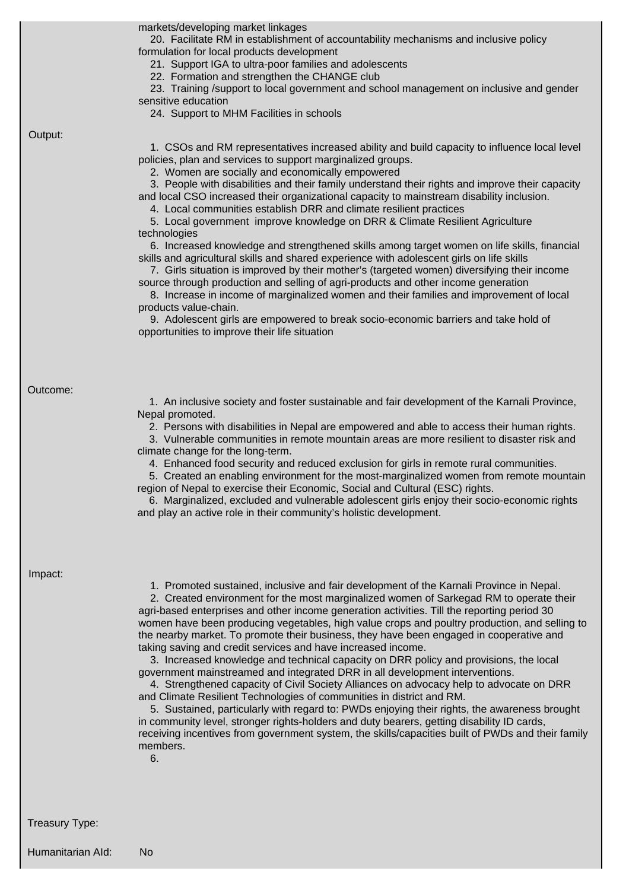|                   | markets/developing market linkages<br>20. Facilitate RM in establishment of accountability mechanisms and inclusive policy<br>formulation for local products development<br>21. Support IGA to ultra-poor families and adolescents<br>22. Formation and strengthen the CHANGE club<br>23. Training /support to local government and school management on inclusive and gender<br>sensitive education<br>24. Support to MHM Facilities in schools                                                                                                                                                                                                                                                                                                                                                                                                                                                                                                                                                                                                                                                                                                                                                                                   |
|-------------------|------------------------------------------------------------------------------------------------------------------------------------------------------------------------------------------------------------------------------------------------------------------------------------------------------------------------------------------------------------------------------------------------------------------------------------------------------------------------------------------------------------------------------------------------------------------------------------------------------------------------------------------------------------------------------------------------------------------------------------------------------------------------------------------------------------------------------------------------------------------------------------------------------------------------------------------------------------------------------------------------------------------------------------------------------------------------------------------------------------------------------------------------------------------------------------------------------------------------------------|
| Output:           | 1. CSOs and RM representatives increased ability and build capacity to influence local level<br>policies, plan and services to support marginalized groups.<br>2. Women are socially and economically empowered<br>3. People with disabilities and their family understand their rights and improve their capacity<br>and local CSO increased their organizational capacity to mainstream disability inclusion.<br>4. Local communities establish DRR and climate resilient practices<br>5. Local government improve knowledge on DRR & Climate Resilient Agriculture<br>technologies<br>6. Increased knowledge and strengthened skills among target women on life skills, financial<br>skills and agricultural skills and shared experience with adolescent girls on life skills<br>7. Girls situation is improved by their mother's (targeted women) diversifying their income<br>source through production and selling of agri-products and other income generation<br>8. Increase in income of marginalized women and their families and improvement of local<br>products value-chain.<br>9. Adolescent girls are empowered to break socio-economic barriers and take hold of<br>opportunities to improve their life situation |
| Outcome:          | 1. An inclusive society and foster sustainable and fair development of the Karnali Province,<br>Nepal promoted.<br>2. Persons with disabilities in Nepal are empowered and able to access their human rights.<br>3. Vulnerable communities in remote mountain areas are more resilient to disaster risk and<br>climate change for the long-term.<br>4. Enhanced food security and reduced exclusion for girls in remote rural communities.<br>5. Created an enabling environment for the most-marginalized women from remote mountain<br>region of Nepal to exercise their Economic, Social and Cultural (ESC) rights.<br>6. Marginalized, excluded and vulnerable adolescent girls enjoy their socio-economic rights<br>and play an active role in their community's holistic development.                                                                                                                                                                                                                                                                                                                                                                                                                                        |
| Impact:           | 1. Promoted sustained, inclusive and fair development of the Karnali Province in Nepal.<br>2. Created environment for the most marginalized women of Sarkegad RM to operate their<br>agri-based enterprises and other income generation activities. Till the reporting period 30<br>women have been producing vegetables, high value crops and poultry production, and selling to<br>the nearby market. To promote their business, they have been engaged in cooperative and<br>taking saving and credit services and have increased income.<br>3. Increased knowledge and technical capacity on DRR policy and provisions, the local<br>government mainstreamed and integrated DRR in all development interventions.<br>4. Strengthened capacity of Civil Society Alliances on advocacy help to advocate on DRR<br>and Climate Resilient Technologies of communities in district and RM.<br>5. Sustained, particularly with regard to: PWDs enjoying their rights, the awareness brought<br>in community level, stronger rights-holders and duty bearers, getting disability ID cards,<br>receiving incentives from government system, the skills/capacities built of PWDs and their family<br>members.<br>6.                     |
| Treasury Type:    |                                                                                                                                                                                                                                                                                                                                                                                                                                                                                                                                                                                                                                                                                                                                                                                                                                                                                                                                                                                                                                                                                                                                                                                                                                    |
| Humanitarian Ald: | No                                                                                                                                                                                                                                                                                                                                                                                                                                                                                                                                                                                                                                                                                                                                                                                                                                                                                                                                                                                                                                                                                                                                                                                                                                 |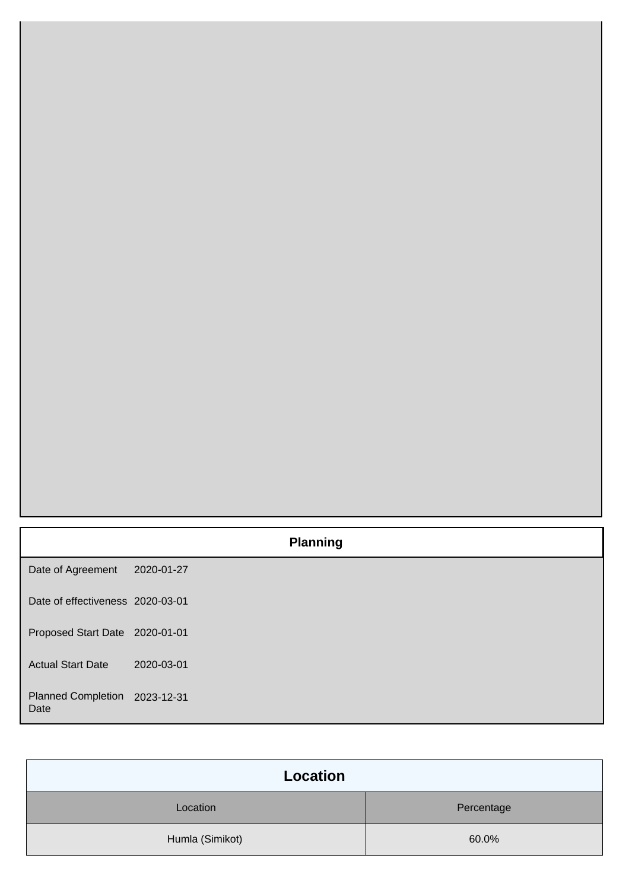|                                       | <b>Planning</b> |  |
|---------------------------------------|-----------------|--|
| Date of Agreement                     | 2020-01-27      |  |
| Date of effectiveness 2020-03-01      |                 |  |
| Proposed Start Date 2020-01-01        |                 |  |
| <b>Actual Start Date</b>              | 2020-03-01      |  |
| Planned Completion 2023-12-31<br>Date |                 |  |

| <b>Location</b> |            |
|-----------------|------------|
| Location        | Percentage |
| Humla (Simikot) | 60.0%      |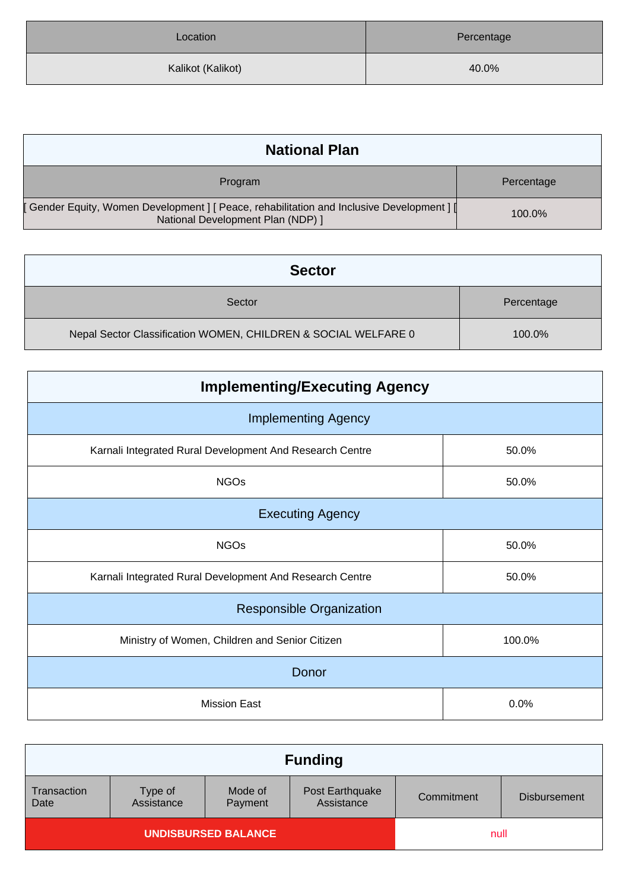| Location          | Percentage |
|-------------------|------------|
| Kalikot (Kalikot) | 40.0%      |

| <b>National Plan</b>                                                                                                            |            |  |
|---------------------------------------------------------------------------------------------------------------------------------|------------|--|
| Program                                                                                                                         | Percentage |  |
| [ Gender Equity, Women Development ] [ Peace, rehabilitation and Inclusive Development ] [<br>National Development Plan (NDP) 1 | 100.0%     |  |

| <b>Sector</b>                                                  |            |
|----------------------------------------------------------------|------------|
| Sector                                                         | Percentage |
| Nepal Sector Classification WOMEN, CHILDREN & SOCIAL WELFARE 0 | 100.0%     |

| <b>Implementing/Executing Agency</b>                     |        |  |  |
|----------------------------------------------------------|--------|--|--|
| <b>Implementing Agency</b>                               |        |  |  |
| Karnali Integrated Rural Development And Research Centre | 50.0%  |  |  |
| <b>NGOs</b>                                              | 50.0%  |  |  |
| <b>Executing Agency</b>                                  |        |  |  |
| <b>NGOs</b>                                              | 50.0%  |  |  |
| Karnali Integrated Rural Development And Research Centre | 50.0%  |  |  |
| <b>Responsible Organization</b>                          |        |  |  |
| Ministry of Women, Children and Senior Citizen           | 100.0% |  |  |
| Donor                                                    |        |  |  |
| <b>Mission East</b>                                      | 0.0%   |  |  |

| <b>Funding</b>             |                       |                    |                               |            |                     |
|----------------------------|-----------------------|--------------------|-------------------------------|------------|---------------------|
| Transaction<br>Date        | Type of<br>Assistance | Mode of<br>Payment | Post Earthquake<br>Assistance | Commitment | <b>Disbursement</b> |
| <b>UNDISBURSED BALANCE</b> |                       |                    | null                          |            |                     |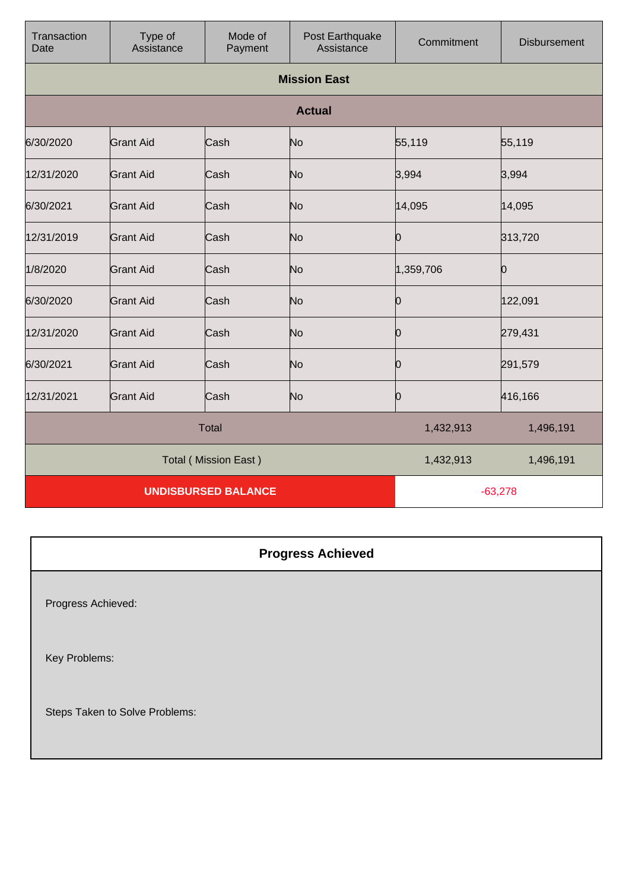| Transaction<br>Date        | Type of<br>Assistance       | Mode of<br>Payment | Post Earthquake<br>Assistance | Commitment | <b>Disbursement</b> |
|----------------------------|-----------------------------|--------------------|-------------------------------|------------|---------------------|
|                            |                             |                    | <b>Mission East</b>           |            |                     |
|                            |                             |                    | <b>Actual</b>                 |            |                     |
| 6/30/2020                  | <b>Grant Aid</b>            | Cash               | No                            | 55,119     | 55,119              |
| 12/31/2020                 | <b>Grant Aid</b>            | Cash               | No                            | 3,994      | 3,994               |
| 6/30/2021                  | <b>Grant Aid</b>            | Cash               | No                            | 14,095     | 14,095              |
| 12/31/2019                 | <b>Grant Aid</b>            | Cash               | No                            | 0          | 313,720             |
| 1/8/2020                   | <b>Grant Aid</b>            | Cash               | No                            | 1,359,706  | Ю                   |
| 6/30/2020                  | <b>Grant Aid</b>            | Cash               | No                            | 0          | 122,091             |
| 12/31/2020                 | <b>Grant Aid</b>            | Cash               | No                            | 0          | 279,431             |
| 6/30/2021                  | <b>Grant Aid</b>            | Cash               | No                            | 0          | 291,579             |
| 12/31/2021                 | <b>Grant Aid</b>            | Cash               | No                            | 0          | 416,166             |
|                            |                             | <b>Total</b>       |                               | 1,432,913  | 1,496,191           |
|                            | <b>Total (Mission East)</b> |                    |                               | 1,432,913  | 1,496,191           |
| <b>UNDISBURSED BALANCE</b> |                             |                    | $-63,278$                     |            |                     |

**Progress Achieved** Progress Achieved: Key Problems: Steps Taken to Solve Problems: